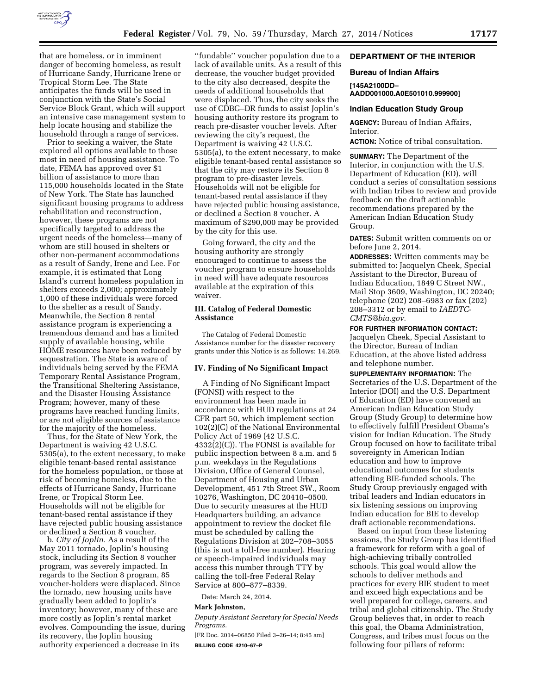

that are homeless, or in imminent danger of becoming homeless, as result of Hurricane Sandy, Hurricane Irene or Tropical Storm Lee. The State anticipates the funds will be used in conjunction with the State's Social Service Block Grant, which will support an intensive case management system to help locate housing and stabilize the household through a range of services.

Prior to seeking a waiver, the State explored all options available to those most in need of housing assistance. To date, FEMA has approved over \$1 billion of assistance to more than 115,000 households located in the State of New York. The State has launched significant housing programs to address rehabilitation and reconstruction, however, these programs are not specifically targeted to address the urgent needs of the homeless—many of whom are still housed in shelters or other non-permanent accommodations as a result of Sandy, Irene and Lee. For example, it is estimated that Long Island's current homeless population in shelters exceeds 2,000; approximately 1,000 of these individuals were forced to the shelter as a result of Sandy. Meanwhile, the Section 8 rental assistance program is experiencing a tremendous demand and has a limited supply of available housing, while HOME resources have been reduced by sequestration. The State is aware of individuals being served by the FEMA Temporary Rental Assistance Program, the Transitional Sheltering Assistance, and the Disaster Housing Assistance Program; however, many of these programs have reached funding limits, or are not eligible sources of assistance for the majority of the homeless.

Thus, for the State of New York, the Department is waiving 42 U.S.C. 5305(a), to the extent necessary, to make eligible tenant-based rental assistance for the homeless population, or those at risk of becoming homeless, due to the effects of Hurricane Sandy, Hurricane Irene, or Tropical Storm Lee. Households will not be eligible for tenant-based rental assistance if they have rejected public housing assistance or declined a Section 8 voucher.

b. *City of Joplin.* As a result of the May 2011 tornado, Joplin's housing stock, including its Section 8 voucher program, was severely impacted. In regards to the Section 8 program, 85 voucher-holders were displaced. Since the tornado, new housing units have gradually been added to Joplin's inventory; however, many of these are more costly as Joplin's rental market evolves. Compounding the issue, during its recovery, the Joplin housing authority experienced a decrease in its

''fundable'' voucher population due to a lack of available units. As a result of this decrease, the voucher budget provided to the city also decreased, despite the needs of additional households that were displaced. Thus, the city seeks the use of CDBG–DR funds to assist Joplin's housing authority restore its program to reach pre-disaster voucher levels. After reviewing the city's request, the Department is waiving 42 U.S.C. 5305(a), to the extent necessary, to make eligible tenant-based rental assistance so that the city may restore its Section 8 program to pre-disaster levels. Households will not be eligible for tenant-based rental assistance if they have rejected public housing assistance, or declined a Section 8 voucher. A maximum of \$290,000 may be provided by the city for this use.

Going forward, the city and the housing authority are strongly encouraged to continue to assess the voucher program to ensure households in need will have adequate resources available at the expiration of this waiver.

## **III. Catalog of Federal Domestic Assistance**

The Catalog of Federal Domestic Assistance number for the disaster recovery grants under this Notice is as follows: 14.269.

### **IV. Finding of No Significant Impact**

A Finding of No Significant Impact (FONSI) with respect to the environment has been made in accordance with HUD regulations at 24 CFR part 50, which implement section 102(2)(C) of the National Environmental Policy Act of 1969 (42 U.S.C.  $4332(2)(C)$ . The FONSI is available for public inspection between 8 a.m. and 5 p.m. weekdays in the Regulations Division, Office of General Counsel, Department of Housing and Urban Development, 451 7th Street SW., Room 10276, Washington, DC 20410–0500. Due to security measures at the HUD Headquarters building, an advance appointment to review the docket file must be scheduled by calling the Regulations Division at 202–708–3055 (this is not a toll-free number). Hearing or speech-impaired individuals may access this number through TTY by calling the toll-free Federal Relay Service at 800–877–8339.

Date: March 24, 2014.

#### **Mark Johnston,**

*Deputy Assistant Secretary for Special Needs Programs.* 

[FR Doc. 2014–06850 Filed 3–26–14; 8:45 am] **BILLING CODE 4210–67–P** 

# **DEPARTMENT OF THE INTERIOR**

### **Bureau of Indian Affairs**

**[145A2100DD– AADD001000.A0E501010.999900]** 

#### **Indian Education Study Group**

**AGENCY:** Bureau of Indian Affairs, Interior.

**ACTION:** Notice of tribal consultation.

**SUMMARY:** The Department of the Interior, in conjunction with the U.S. Department of Education (ED), will conduct a series of consultation sessions with Indian tribes to review and provide feedback on the draft actionable recommendations prepared by the American Indian Education Study Group.

**DATES:** Submit written comments on or before June 2, 2014.

**ADDRESSES:** Written comments may be submitted to: Jacquelyn Cheek, Special Assistant to the Director, Bureau of Indian Education, 1849 C Street NW., Mail Stop 3609, Washington, DC 20240; telephone (202) 208–6983 or fax (202) 208–3312 or by email to *[IAEDTC-](mailto:IAEDTC-CMTS@bia.gov)[CMTS@bia.gov](mailto:IAEDTC-CMTS@bia.gov)*.

### **FOR FURTHER INFORMATION CONTACT:**

Jacquelyn Cheek, Special Assistant to the Director, Bureau of Indian Education, at the above listed address and telephone number.

**SUPPLEMENTARY INFORMATION:** The Secretaries of the U.S. Department of the Interior (DOI) and the U.S. Department of Education (ED) have convened an American Indian Education Study Group (Study Group) to determine how to effectively fulfill President Obama's vision for Indian Education. The Study Group focused on how to facilitate tribal sovereignty in American Indian education and how to improve educational outcomes for students attending BIE-funded schools. The Study Group previously engaged with tribal leaders and Indian educators in six listening sessions on improving Indian education for BIE to develop draft actionable recommendations.

Based on input from these listening sessions, the Study Group has identified a framework for reform with a goal of high-achieving tribally controlled schools. This goal would allow the schools to deliver methods and practices for every BIE student to meet and exceed high expectations and be well prepared for college, careers, and tribal and global citizenship. The Study Group believes that, in order to reach this goal, the Obama Administration, Congress, and tribes must focus on the following four pillars of reform: